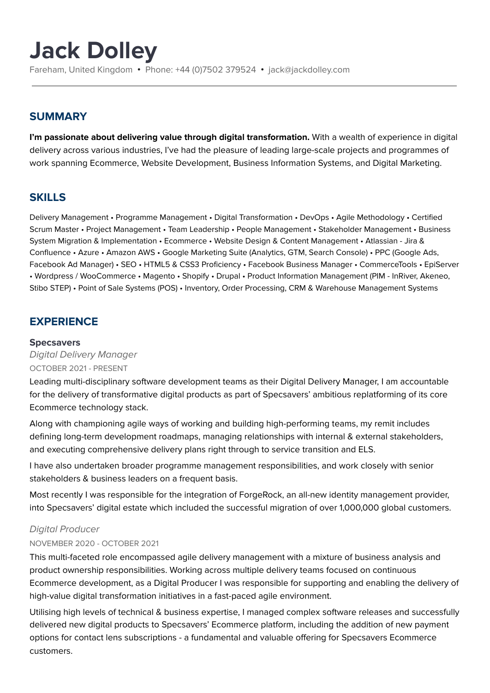# **Jack Dolley**

Fareham, United Kingdom • Phone: +44 (0)7502 379524 • jack@jackdolley.com

### **SUMMARY**

**I'm passionate about delivering value through digital transformation.** With a wealth of experience in digital delivery across various industries, I've had the pleasure of leading large-scale projects and programmes of work spanning Ecommerce, Website Development, Business Information Systems, and Digital Marketing.

## **SKILLS**

Delivery Management • Programme Management • Digital Transformation • DevOps • Agile Methodology • Certified Scrum Master • Project Management • Team Leadership • People Management • Stakeholder Management • Business System Migration & Implementation • Ecommerce • Website Design & Content Management • Atlassian - Jira & Confluence • Azure • Amazon AWS • Google Marketing Suite (Analytics, GTM, Search Console) • PPC (Google Ads, Facebook Ad Manager) • SEO • HTML5 & CSS3 Proficiency • Facebook Business Manager • CommerceTools • EpiServer • Wordpress / WooCommerce • Magento • Shopify • Drupal • Product Information Management (PIM - InRiver, Akeneo, Stibo STEP) • Point of Sale Systems (POS) • Inventory, Order Processing, CRM & Warehouse Management Systems

# **EXPERIENCE**

#### **Specsavers**

Digital Delivery Manager OCTOBER 2021 - PRESENT

Leading multi-disciplinary software development teams as their Digital Delivery Manager, I am accountable for the delivery of transformative digital products as part of Specsavers' ambitious replatforming of its core Ecommerce technology stack.

Along with championing agile ways of working and building high-performing teams, my remit includes defining long-term development roadmaps, managing relationships with internal & external stakeholders, and executing comprehensive delivery plans right through to service transition and ELS.

I have also undertaken broader programme management responsibilities, and work closely with senior stakeholders & business leaders on a frequent basis.

Most recently I was responsible for the integration of ForgeRock, an all-new identity management provider, into Specsavers' digital estate which included the successful migration of over 1,000,000 global customers.

#### Digital Producer

#### NOVEMBER 2020 - OCTOBER 2021

This multi-faceted role encompassed agile delivery management with a mixture of business analysis and product ownership responsibilities. Working across multiple delivery teams focused on continuous Ecommerce development, as a Digital Producer I was responsible for supporting and enabling the delivery of high-value digital transformation initiatives in a fast-paced agile environment.

Utilising high levels of technical & business expertise, I managed complex software releases and successfully delivered new digital products to Specsavers' Ecommerce platform, including the addition of new payment options for contact lens subscriptions - a fundamental and valuable offering for Specsavers Ecommerce customers.